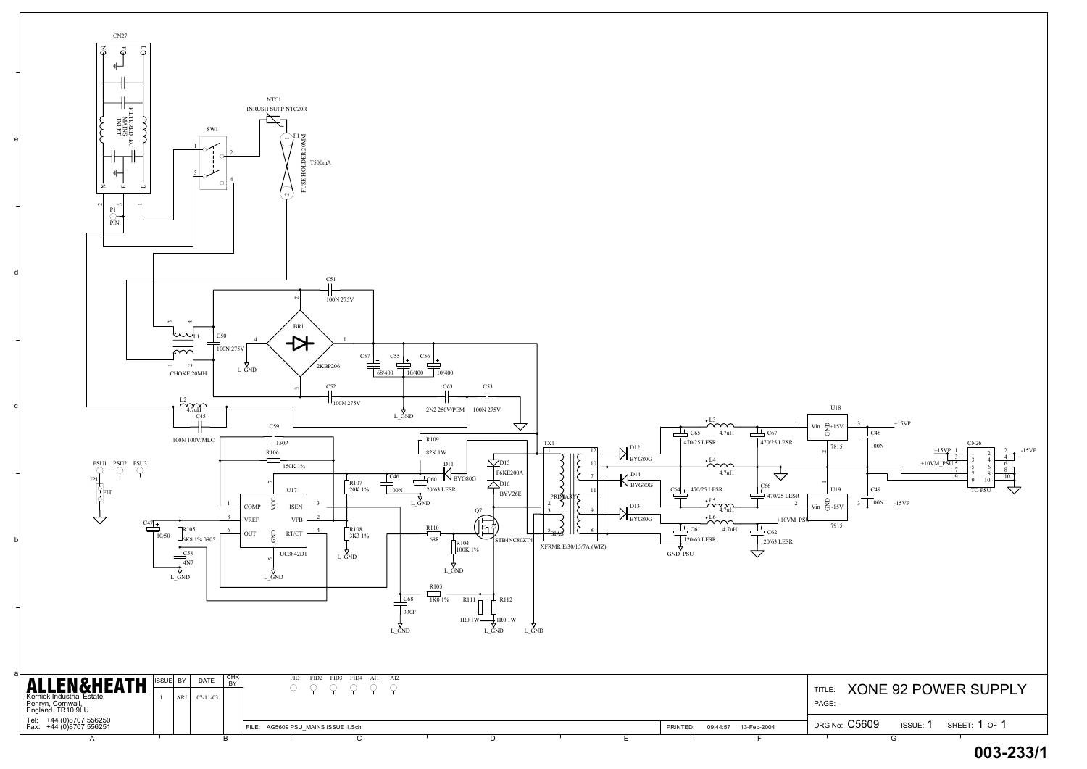a

b

c

d

e